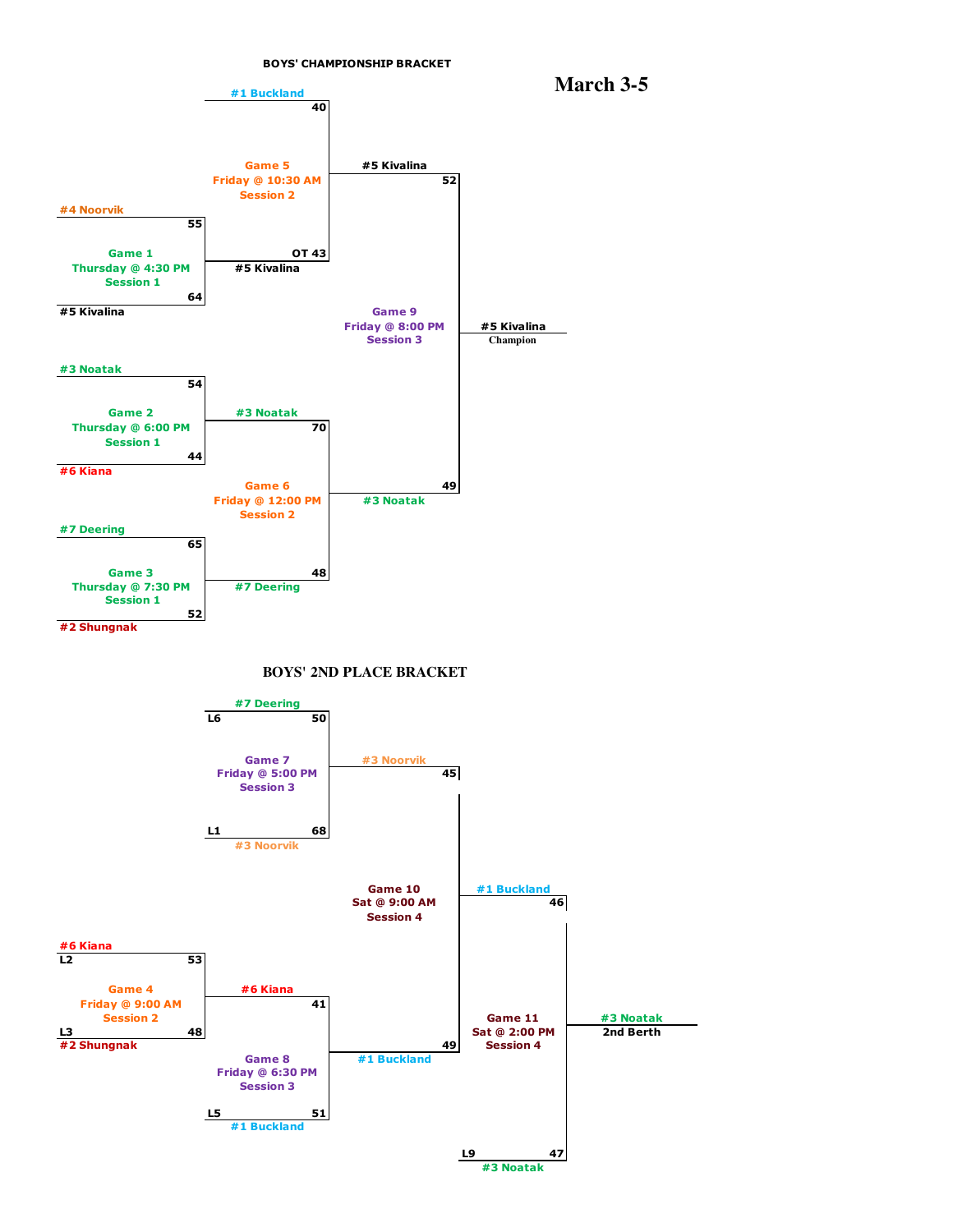